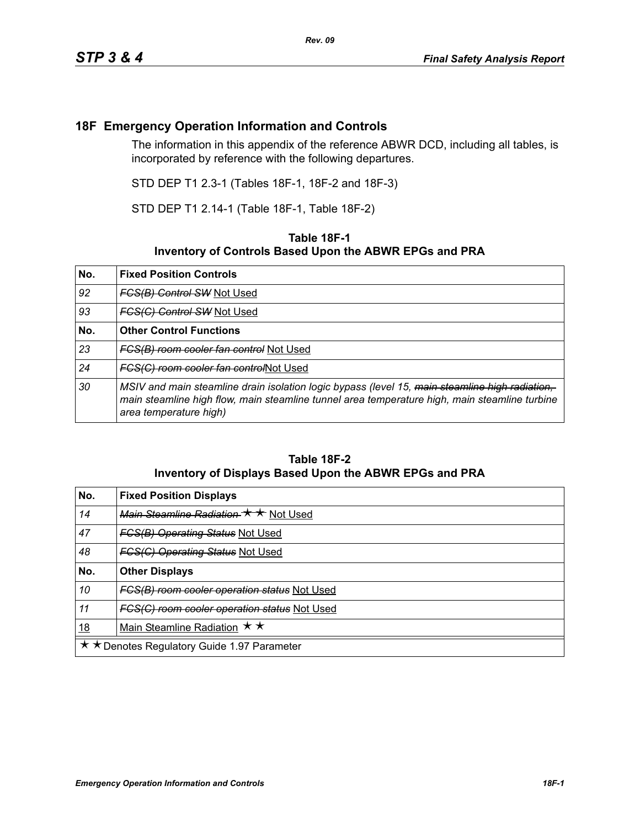## **18F Emergency Operation Information and Controls**

The information in this appendix of the reference ABWR DCD, including all tables, is incorporated by reference with the following departures.

STD DEP T1 2.3-1 (Tables 18F-1, 18F-2 and 18F-3)

STD DEP T1 2.14-1 (Table 18F-1, Table 18F-2)

## **Table 18F-1 Inventory of Controls Based Upon the ABWR EPGs and PRA**

| No. | <b>Fixed Position Controls</b>                                                                                                                                                                                            |
|-----|---------------------------------------------------------------------------------------------------------------------------------------------------------------------------------------------------------------------------|
| 92  | <b>FCS(B) Control SW Not Used</b>                                                                                                                                                                                         |
| 93  | <b>FCS(C) Control SW Not Used</b>                                                                                                                                                                                         |
| No. | <b>Other Control Functions</b>                                                                                                                                                                                            |
| 23  | FCS(B) room cooler fan control Not Used                                                                                                                                                                                   |
| 24  | FCS(C) room cooler fan controlNot Used                                                                                                                                                                                    |
| 30  | MSIV and main steamline drain isolation logic bypass (level 15, main steamline high radiation,<br>main steamline high flow, main steamline tunnel area temperature high, main steamline turbine<br>area temperature high) |

## **Table 18F-2 Inventory of Displays Based Upon the ABWR EPGs and PRA**

| No.                                         | <b>Fixed Position Displays</b>                      |  |
|---------------------------------------------|-----------------------------------------------------|--|
| 14                                          | Main Steamline Radiation $\star \star$ Not Used     |  |
| 47                                          | <b>FGS(B) Operating Status Not Used</b>             |  |
| 48                                          | <b>FGS(G) Operating Status Not Used</b>             |  |
| No.                                         | <b>Other Displays</b>                               |  |
| 10                                          | <b>FCS(B) room cooler operation status Not Used</b> |  |
| 11                                          | FCS(C) room cooler operation status Not Used        |  |
| <u>18</u>                                   | Main Steamline Radiation $\star \star$              |  |
| ★ ★ Denotes Regulatory Guide 1.97 Parameter |                                                     |  |